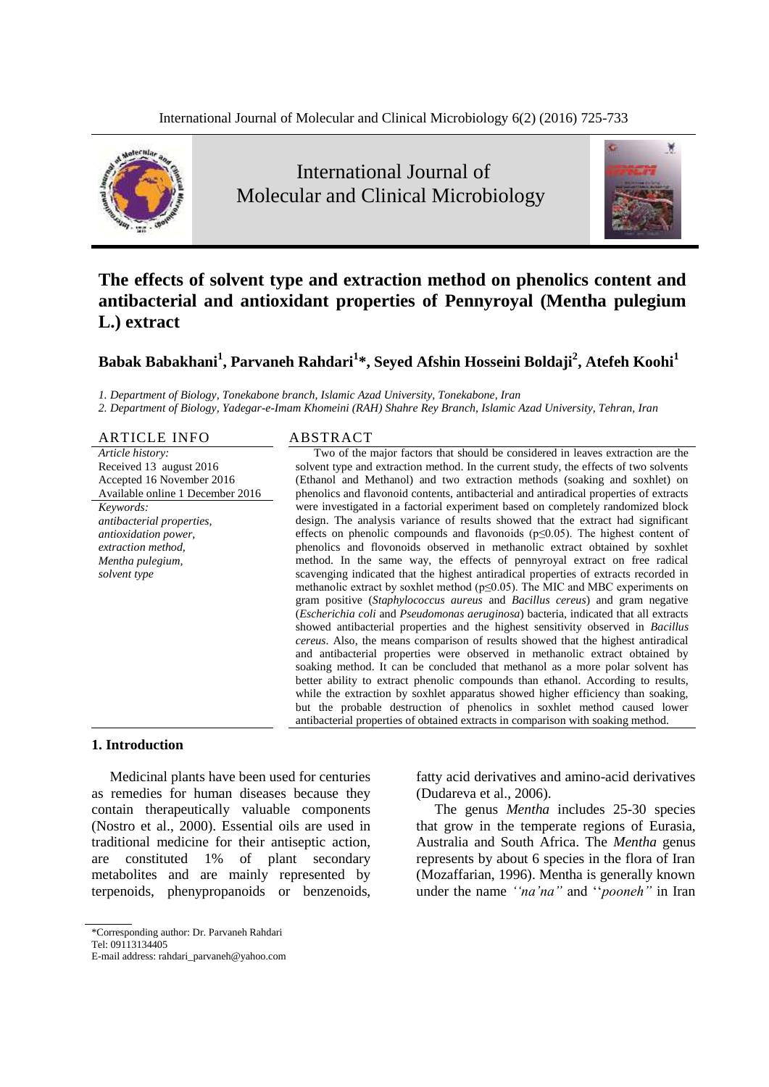

# International Journal of Molecular and Clinical Microbiology



# **The effects of solvent type and extraction method on phenolics content and antibacterial and antioxidant properties of Pennyroyal (Mentha pulegium L.) extract**

# **Babak Babakhani<sup>1</sup> , Parvaneh Rahdari<sup>1</sup> \*, Seyed Afshin Hosseini Boldaji<sup>2</sup> , Atefeh Koohi<sup>1</sup>**

*1. Department of Biology, Tonekabone branch, Islamic Azad University, Tonekabone, Iran*

*2. Department of Biology, Yadegar-e-Imam Khomeini (RAH) Shahre Rey Branch, Islamic Azad University, Tehran, Iran*

#### ARTICLE INFO ABSTRACT

*Article history:* Received 13 august 2016 Accepted 16 November 2016 Available online 1 December 2016 *Keywords: antibacterial properties, antioxidation power, extraction method, Mentha pulegium, solvent type*

Two of the major factors that should be considered in leaves extraction are the solvent type and extraction method. In the current study, the effects of two solvents (Ethanol and Methanol) and two extraction methods (soaking and soxhlet) on phenolics and flavonoid contents, antibacterial and antiradical properties of extracts were investigated in a factorial experiment based on completely randomized block design. The analysis variance of results showed that the extract had significant effects on phenolic compounds and flavonoids  $(p \le 0.05)$ . The highest content of phenolics and flovonoids observed in methanolic extract obtained by soxhlet method. In the same way, the effects of pennyroyal extract on free radical scavenging indicated that the highest antiradical properties of extracts recorded in methanolic extract by soxhlet method (p≤0.05). The MIC and MBC experiments on gram positive (*Staphylococcus aureus* and *Bacillus cereus*) and gram negative (*Escherichia coli* and *Pseudomonas aeruginosa*) bacteria, indicated that all extracts showed antibacterial properties and the highest sensitivity observed in *Bacillus cereus*. Also, the means comparison of results showed that the highest antiradical and antibacterial properties were observed in methanolic extract obtained by soaking method. It can be concluded that methanol as a more polar solvent has better ability to extract phenolic compounds than ethanol. According to results, while the extraction by soxhlet apparatus showed higher efficiency than soaking, but the probable destruction of phenolics in soxhlet method caused lower antibacterial properties of obtained extracts in comparison with soaking method.

### **1. Introduction**

Medicinal plants have been used for centuries as remedies for human diseases because they contain therapeutically valuable components (Nostro et al., 2000). Essential oils are used in traditional medicine for their antiseptic action, are constituted 1% of plant secondary metabolites and are mainly represented by terpenoids, phenypropanoids or benzenoids,

fatty acid derivatives and amino-acid derivatives (Dudareva et al., 2006).

The genus *Mentha* includes 25-30 species that grow in the temperate regions of Eurasia, Australia and South Africa. The *Mentha* genus represents by about 6 species in the flora of Iran (Mozaffarian, 1996). Mentha is generally known under the name *''na'na"* and ''*pooneh"* in Iran

<sup>\*</sup>Corresponding author: Dr. Parvaneh Rahdari

Tel: 09113134405

E-mail address: rahdari\_parvaneh@yahoo.com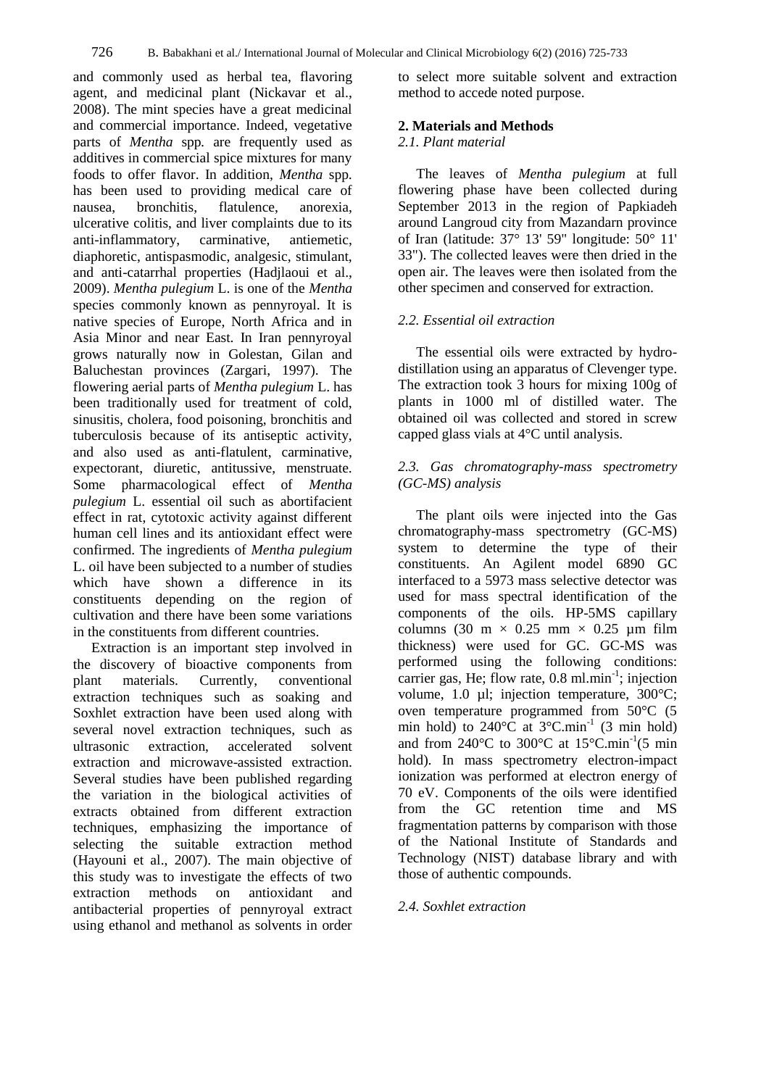and commonly used as herbal tea, flavoring agent, and medicinal plant (Nickavar et al., 2008). The mint species have a great medicinal and commercial importance. Indeed, vegetative parts of *Mentha* spp*.* are frequently used as additives in commercial spice mixtures for many foods to offer flavor. In addition, *Mentha* spp*.*  has been used to providing medical care of nausea, bronchitis, flatulence, anorexia, ulcerative colitis, and liver complaints due to its anti-inflammatory, carminative, antiemetic, diaphoretic, antispasmodic, analgesic, stimulant, and anti-catarrhal properties (Hadjlaoui et al., 2009). *Mentha pulegium* L. is one of the *Mentha*  species commonly known as pennyroyal. It is native species of Europe, North Africa and in Asia Minor and near East. In Iran pennyroyal grows naturally now in Golestan, Gilan and Baluchestan provinces (Zargari, 1997). The flowering aerial parts of *Mentha pulegium* L. has been traditionally used for treatment of cold, sinusitis, cholera, food poisoning, bronchitis and tuberculosis because of its antiseptic activity, and also used as anti-flatulent, carminative, expectorant, diuretic, antitussive, menstruate. Some pharmacological effect of *Mentha pulegium* L. essential oil such as abortifacient effect in rat, cytotoxic activity against different human cell lines and its antioxidant effect were confirmed. The ingredients of *Mentha pulegium*  L. oil have been subjected to a number of studies which have shown a difference in its constituents depending on the region of cultivation and there have been some variations in the constituents from different countries.

Extraction is an important step involved in the discovery of bioactive components from plant materials. Currently, conventional extraction techniques such as soaking and Soxhlet extraction have been used along with several novel extraction techniques, such as ultrasonic extraction, accelerated solvent extraction and microwave-assisted extraction. Several studies have been published regarding the variation in the biological activities of extracts obtained from different extraction techniques, emphasizing the importance of selecting the suitable extraction method (Hayouni et al., 2007). The main objective of this study was to investigate the effects of two extraction methods on antioxidant and antibacterial properties of pennyroyal extract using ethanol and methanol as solvents in order

to select more suitable solvent and extraction method to accede noted purpose.

## **2. Materials and Methods**

# *2.1. Plant material*

The leaves of *Mentha pulegium* at full flowering phase have been collected during September 2013 in the region of Papkiadeh around Langroud city from Mazandarn province of Iran (latitude: 37° 13' 59" longitude: 50° 11' 33"). The collected leaves were then dried in the open air. The leaves were then isolated from the other specimen and conserved for extraction.

# *2.2. Essential oil extraction*

The essential oils were extracted by hydrodistillation using an apparatus of Clevenger type. The extraction took 3 hours for mixing 100g of plants in 1000 ml of distilled water. The obtained oil was collected and stored in screw capped glass vials at 4°C until analysis.

# *2.3. Gas chromatography-mass spectrometry (GC-MS) analysis*

The plant oils were injected into the Gas chromatography-mass spectrometry (GC-MS) system to determine the type of their constituents. An Agilent model 6890 GC interfaced to a 5973 mass selective detector was used for mass spectral identification of the components of the oils. HP-5MS capillary columns (30 m  $\times$  0.25 mm  $\times$  0.25 µm film thickness) were used for GC. GC-MS was performed using the following conditions: carrier gas, He; flow rate,  $0.8$  ml.min<sup>-1</sup>; injection volume, 1.0 µl; injection temperature, 300°C; oven temperature programmed from 50°C (5 min hold) to  $240^{\circ}$ C at  $3^{\circ}$ C.min<sup>-1</sup> (3 min hold) and from 240 $^{\circ}$ C to 300 $^{\circ}$ C at 15 $^{\circ}$ C.min<sup>-1</sup>(5 min hold). In mass spectrometry electron-impact ionization was performed at electron energy of 70 eV. Components of the oils were identified from the GC retention time and MS fragmentation patterns by comparison with those of the National Institute of Standards and Technology (NIST) database library and with those of authentic compounds.

# *2.4. Soxhlet extraction*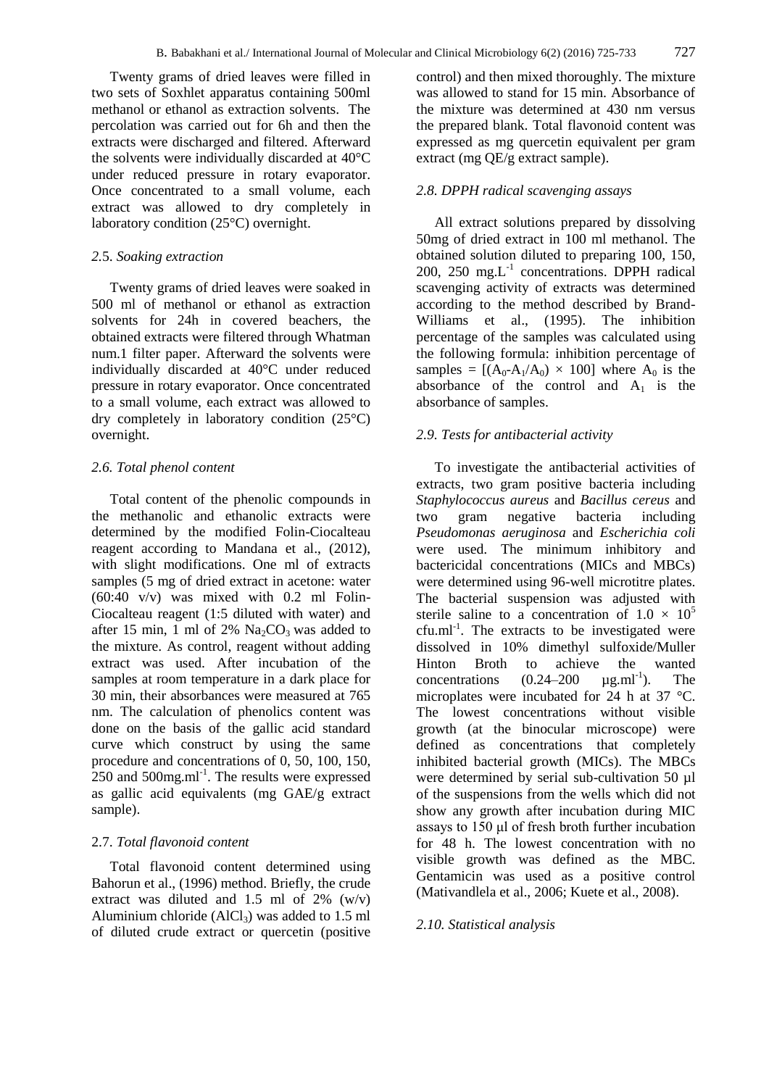Twenty grams of dried leaves were filled in two sets of Soxhlet apparatus containing 500ml methanol or ethanol as extraction solvents. The percolation was carried out for 6h and then the extracts were discharged and filtered. Afterward the solvents were individually discarded at 40°C under reduced pressure in rotary evaporator. Once concentrated to a small volume, each extract was allowed to dry completely in laboratory condition (25°C) overnight.

#### *2.*5. *Soaking extraction*

Twenty grams of dried leaves were soaked in 500 ml of methanol or ethanol as extraction solvents for 24h in covered beachers, the obtained extracts were filtered through Whatman num.1 filter paper. Afterward the solvents were individually discarded at 40°C under reduced pressure in rotary evaporator. Once concentrated to a small volume, each extract was allowed to dry completely in laboratory condition (25°C) overnight.

#### *2.6. Total phenol content*

Total content of the phenolic compounds in the methanolic and ethanolic extracts were determined by the modified Folin-Ciocalteau reagent according to Mandana et al., (2012), with slight modifications. One ml of extracts samples (5 mg of dried extract in acetone: water  $(60:40 \text{ v/v})$  was mixed with 0.2 ml Folin-Ciocalteau reagent (1:5 diluted with water) and after 15 min, 1 ml of 2%  $Na<sub>2</sub>CO<sub>3</sub>$  was added to the mixture. As control, reagent without adding extract was used. After incubation of the samples at room temperature in a dark place for 30 min, their absorbances were measured at 765 nm. The calculation of phenolics content was done on the basis of the gallic acid standard curve which construct by using the same procedure and concentrations of 0, 50, 100, 150,  $250$  and  $500$ mg.ml<sup>-1</sup>. The results were expressed as gallic acid equivalents (mg GAE/g extract sample).

#### 2.7. *Total flavonoid content*

Total flavonoid content determined using Bahorun et al., (1996) method. Briefly, the crude extract was diluted and 1.5 ml of 2%  $(w/v)$ Aluminium chloride  $(AICI<sub>3</sub>)$  was added to 1.5 ml of diluted crude extract or quercetin (positive control) and then mixed thoroughly. The mixture was allowed to stand for 15 min. Absorbance of the mixture was determined at 430 nm versus the prepared blank. Total flavonoid content was expressed as mg quercetin equivalent per gram extract (mg QE/g extract sample).

## *2.8. DPPH radical scavenging assays*

All extract solutions prepared by dissolving 50mg of dried extract in 100 ml methanol. The obtained solution diluted to preparing 100, 150, 200, 250 mg. $L^{-1}$  concentrations. DPPH radical scavenging activity of extracts was determined according to the method described by Brand-Williams et al., (1995). The inhibition percentage of the samples was calculated using the following formula: inhibition percentage of samples =  $[(A_0-A_1/A_0) \times 100]$  where  $A_0$  is the absorbance of the control and  $A_1$  is the absorbance of samples.

#### *2.9. Tests for antibacterial activity*

To investigate the antibacterial activities of extracts, two gram positive bacteria including *Staphylococcus aureus* and *Bacillus cereus* and two gram negative bacteria including *Pseudomonas aeruginosa* and *Escherichia coli* were used. The minimum inhibitory and bactericidal concentrations (MICs and MBCs) were determined using 96-well microtitre plates. The bacterial suspension was adjusted with sterile saline to a concentration of  $1.0 \times 10^5$ cfu.ml<sup>-1</sup>. The extracts to be investigated were dissolved in 10% dimethyl sulfoxide/Muller Hinton Broth to achieve the wanted<br>concentrations  $(0.24-200 \text{ }\mu\text{g.m}^{-1})$ . The  $concentrations$   $(0.24-200)$ ). The microplates were incubated for 24 h at 37 °C. The lowest concentrations without visible growth (at the binocular microscope) were defined as concentrations that completely inhibited bacterial growth (MICs). The MBCs were determined by serial sub-cultivation 50 µl of the suspensions from the wells which did not show any growth after incubation during MIC assays to 150 μl of fresh broth further incubation for 48 h. The lowest concentration with no visible growth was defined as the MBC. Gentamicin was used as a positive control (Mativandlela et al., 2006; Kuete et al., 2008).

## *2.10. Statistical analysis*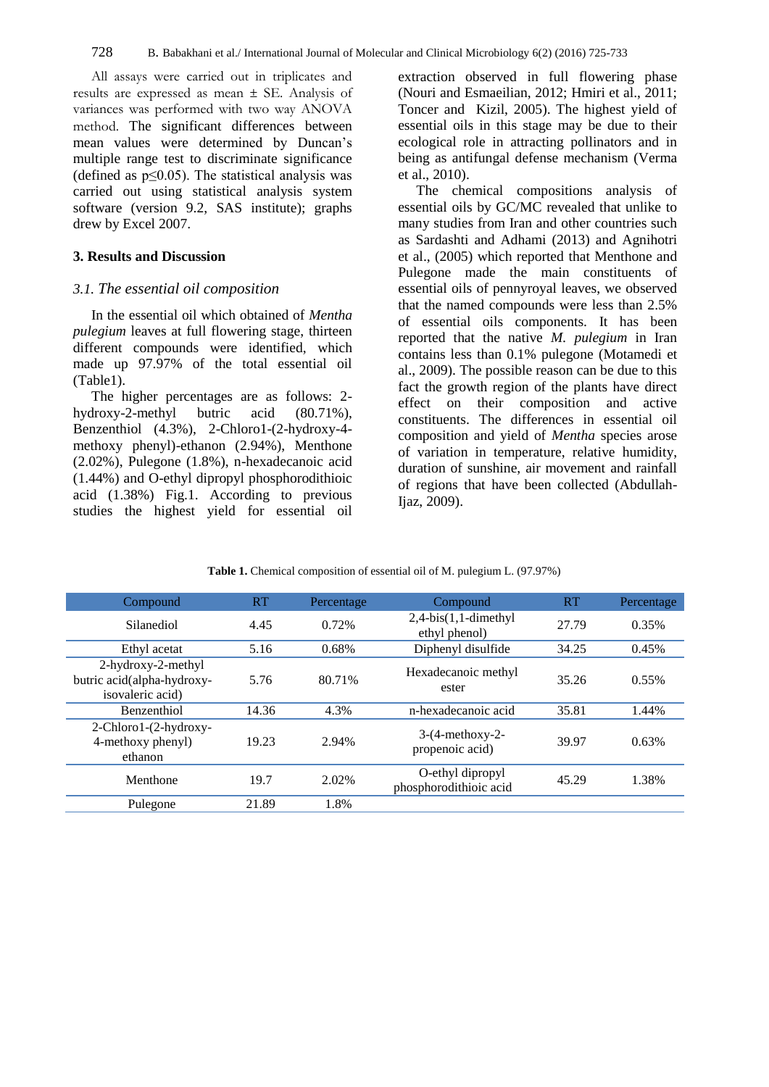All assays were carried out in triplicates and results are expressed as mean ± SE. Analysis of variances was performed with two way ANOVA method. The significant differences between mean values were determined by Duncan's multiple range test to discriminate significance (defined as  $p \leq 0.05$ ). The statistical analysis was carried out using statistical analysis system software (version 9.2, SAS institute); graphs drew by Excel 2007.

## **3. Results and Discussion**

#### *3.1. The essential oil composition*

In the essential oil which obtained of *Mentha pulegium* leaves at full flowering stage, thirteen different compounds were identified, which made up 97.97% of the total essential oil (Table1).

The higher percentages are as follows: 2 hydroxy-2-methyl butric acid (80.71%), Benzenthiol (4.3%), 2-Chloro1-(2-hydroxy-4 methoxy phenyl)-ethanon (2.94%), Menthone (2.02%), Pulegone (1.8%), n-hexadecanoic acid (1.44%) and O-ethyl dipropyl phosphorodithioic acid (1.38%) Fig.1. According to previous studies the highest yield for essential oil

extraction observed in full flowering phase (Nouri and Esmaeilian, 2012; Hmiri et al., 2011; Toncer and Kizil, 2005). The highest yield of essential oils in this stage may be due to their ecological role in attracting pollinators and in being as antifungal defense mechanism (Verma et al., 2010).

The chemical compositions analysis of essential oils by GC/MC revealed that unlike to many studies from Iran and other countries such as Sardashti and Adhami (2013) and Agnihotri et al., (2005) which reported that Menthone and Pulegone made the main constituents of essential oils of pennyroyal leaves, we observed that the named compounds were less than 2.5% of essential oils components. It has been reported that the native *M. pulegium* in Iran contains less than 0.1% pulegone (Motamedi et al., 2009). The possible reason can be due to this fact the growth region of the plants have direct effect on their composition and active constituents. The differences in essential oil composition and yield of *Mentha* species arose of variation in temperature, relative humidity, duration of sunshine, air movement and rainfall of regions that have been collected (Abdullah-Ijaz, 2009).

| Compound                                                             | RT    | Percentage | Compound                                   | RT    | Percentage |
|----------------------------------------------------------------------|-------|------------|--------------------------------------------|-------|------------|
| Silanediol                                                           | 4.45  | 0.72%      | $2,4-bis(1,1-dimethyl)$<br>ethyl phenol)   | 27.79 | 0.35%      |
| Ethyl acetat                                                         | 5.16  | 0.68%      | Diphenyl disulfide                         | 34.25 | 0.45%      |
| 2-hydroxy-2-methyl<br>butric acid(alpha-hydroxy-<br>isovaleric acid) | 5.76  | 80.71%     | Hexadecanoic methyl<br>ester               | 35.26 | $0.55\%$   |
| Benzenthiol                                                          | 14.36 | 4.3%       | n-hexadecanoic acid                        | 35.81 | 1.44%      |
| 2-Chloro1-(2-hydroxy-<br>4-methoxy phenyl)<br>ethanon                | 19.23 | 2.94%      | $3-(4-methoxy-2-$<br>propenoic acid)       | 39.97 | 0.63%      |
| Menthone                                                             | 19.7  | 2.02%      | O-ethyl dipropyl<br>phosphorodithioic acid | 45.29 | 1.38%      |
| Pulegone                                                             | 21.89 | 1.8%       |                                            |       |            |

**Table 1.** Chemical composition of essential oil of M. pulegium L. (97.97%)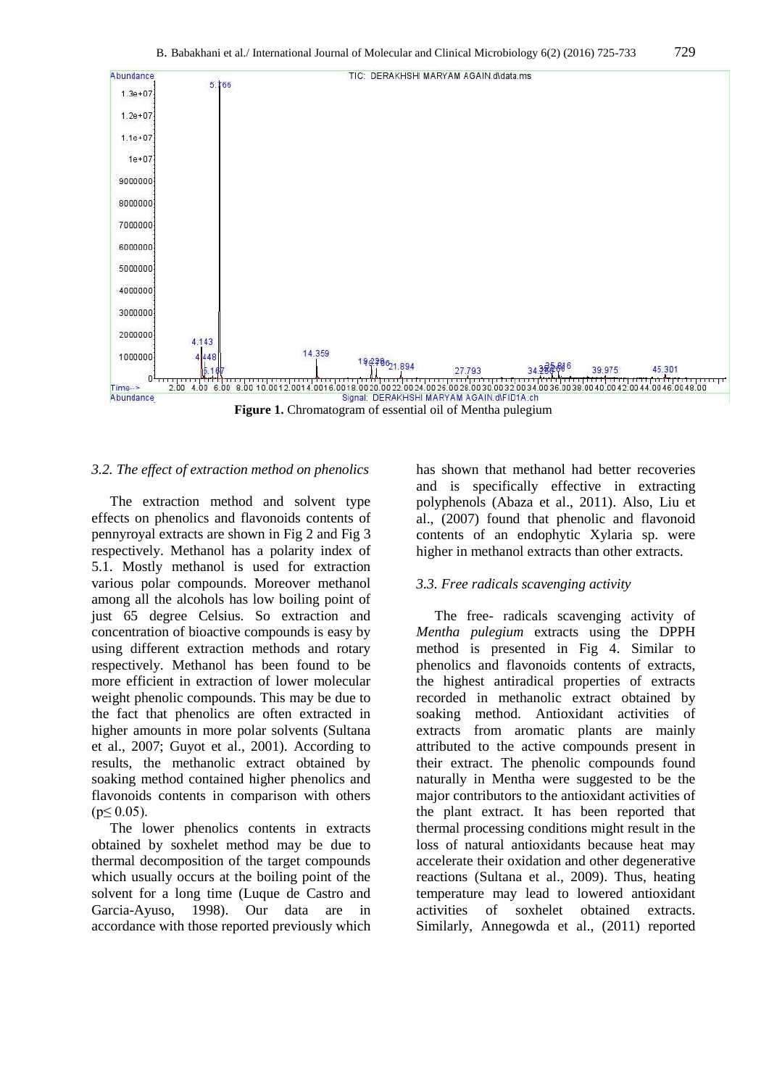

#### *3.2. The effect of extraction method on phenolics*

The extraction method and solvent type effects on phenolics and flavonoids contents of pennyroyal extracts are shown in Fig 2 and Fig 3 respectively. Methanol has a polarity index of 5.1. Mostly methanol is used for extraction various polar compounds. Moreover methanol among all the alcohols has low boiling point of just 65 degree Celsius. So extraction and concentration of bioactive compounds is easy by using different extraction methods and rotary respectively. Methanol has been found to be more efficient in extraction of lower molecular weight phenolic compounds. This may be due to the fact that phenolics are often extracted in higher amounts in more polar solvents (Sultana et al., 2007; Guyot et al., 2001). According to results, the methanolic extract obtained by soaking method contained higher phenolics and flavonoids contents in comparison with others  $(p \le 0.05)$ .

The lower phenolics contents in extracts obtained by soxhelet method may be due to thermal decomposition of the target compounds which usually occurs at the boiling point of the solvent for a long time (Luque de Castro and Garcia-Ayuso, 1998). Our data are in accordance with those reported previously which has shown that methanol had better recoveries and is specifically effective in extracting polyphenols (Abaza et al., 2011). Also, Liu et al., (2007) found that phenolic and flavonoid contents of an endophytic Xylaria sp. were higher in methanol extracts than other extracts.

### *3.3. Free radicals scavenging activity*

The free- radicals scavenging activity of *Mentha pulegium* extracts using the DPPH method is presented in Fig 4. Similar to phenolics and flavonoids contents of extracts, the highest antiradical properties of extracts recorded in methanolic extract obtained by soaking method. Antioxidant activities of extracts from aromatic plants are mainly attributed to the active compounds present in their extract. The phenolic compounds found naturally in Mentha were suggested to be the major contributors to the antioxidant activities of the plant extract. It has been reported that thermal processing conditions might result in the loss of natural antioxidants because heat may accelerate their oxidation and other degenerative reactions (Sultana et al., 2009). Thus, heating temperature may lead to lowered antioxidant activities of soxhelet obtained extracts. Similarly, Annegowda et al., (2011) reported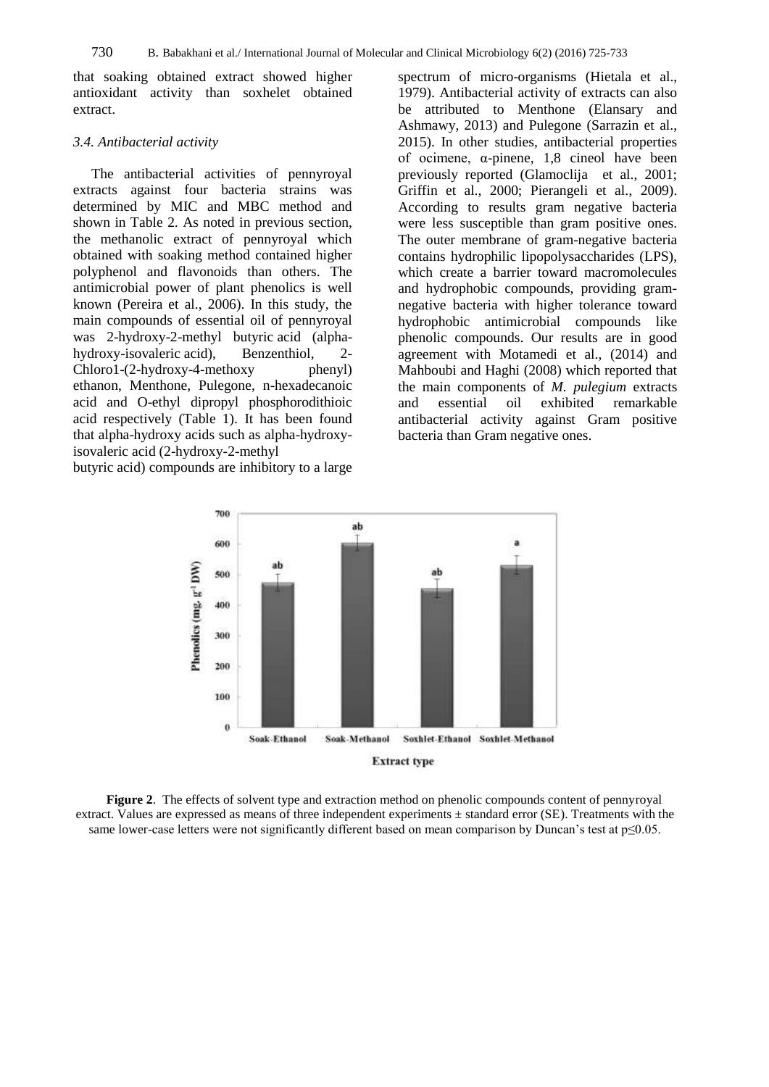that soaking obtained extract showed higher antioxidant activity than soxhelet obtained extract.

#### *3.4. Antibacterial activity*

The antibacterial activities of pennyroyal extracts against four bacteria strains was determined by MIC and MBC method and shown in Table 2. As noted in previous section, the methanolic extract of pennyroyal which obtained with soaking method contained higher polyphenol and flavonoids than others. The antimicrobial power of plant phenolics is well known (Pereira et al., 2006). In this study, the main compounds of essential oil of pennyroyal was 2-hydroxy-2-methyl butyric acid (alphahydroxy-isovaleric acid), Benzenthiol, 2- Chloro1-(2-hydroxy-4-methoxy phenyl) ethanon, Menthone, Pulegone, n-hexadecanoic acid and O-ethyl dipropyl phosphorodithioic acid respectively (Table 1). It has been found that alpha-hydroxy acids such as alpha-hydroxyisovaleric acid (2-hydroxy-2-methyl

butyric acid) compounds are inhibitory to a large

spectrum of micro-organisms (Hietala et al., 1979). Antibacterial activity of extracts can also be attributed to Menthone (Elansary and Ashmawy, 2013) and Pulegone (Sarrazin et al., 2015). In other studies, antibacterial properties of ocimene, α-pinene, 1,8 cineol have been previously reported (Glamoclija et al., 2001; Griffin et al., 2000; Pierangeli et al., 2009). According to results gram negative bacteria were less susceptible than gram positive ones. The outer membrane of gram-negative bacteria contains hydrophilic lipopolysaccharides (LPS), which create a barrier toward macromolecules and hydrophobic compounds, providing gramnegative bacteria with higher tolerance toward hydrophobic antimicrobial compounds like phenolic compounds. Our results are in good agreement with Motamedi et al., (2014) and Mahboubi and Haghi (2008) which reported that the main components of *M. pulegium* extracts<br>and essential oil exhibited remarkable and essential oil exhibited remarkable antibacterial activity against Gram positive bacteria than Gram negative ones.



**Figure 2**. The effects of solvent type and extraction method on phenolic compounds content of pennyroyal extract. Values are expressed as means of three independent experiments ± standard error (SE). Treatments with the same lower-case letters were not significantly different based on mean comparison by Duncan's test at p≤0.05.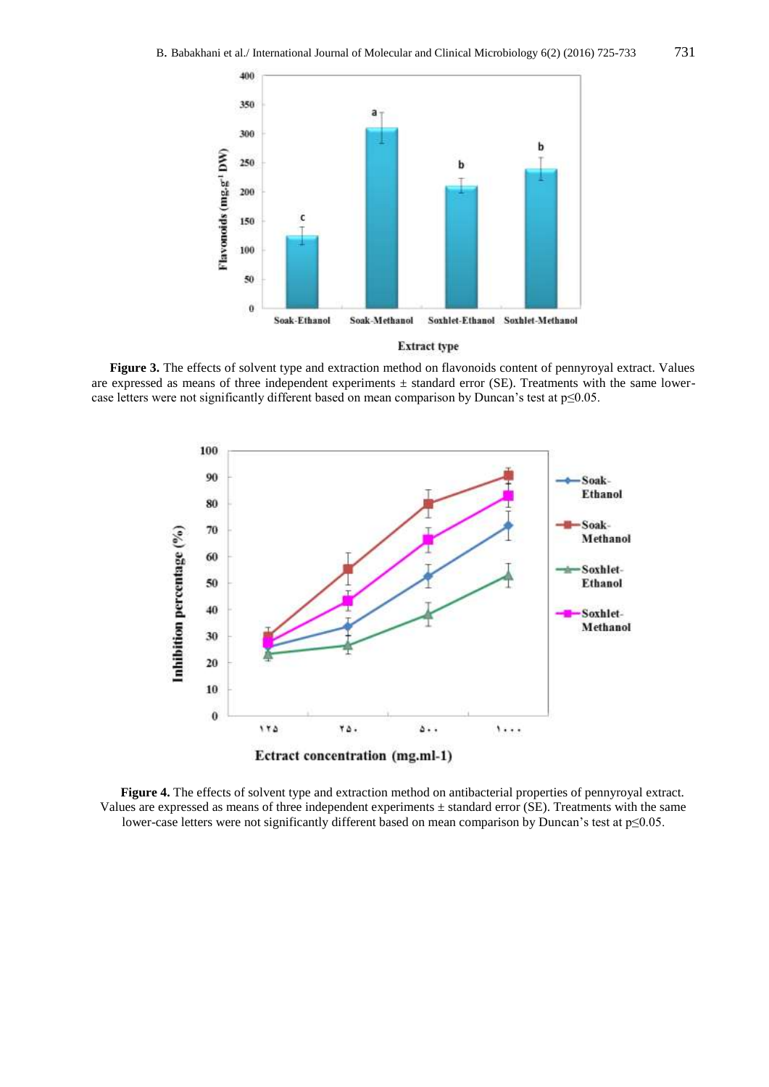

**Figure 3.** The effects of solvent type and extraction method on flavonoids content of pennyroyal extract. Values are expressed as means of three independent experiments  $\pm$  standard error (SE). Treatments with the same lowercase letters were not significantly different based on mean comparison by Duncan's test at p≤0.05.



**Figure 4.** The effects of solvent type and extraction method on antibacterial properties of pennyroyal extract. Values are expressed as means of three independent experiments ± standard error (SE). Treatments with the same lower-case letters were not significantly different based on mean comparison by Duncan's test at p≤0.05.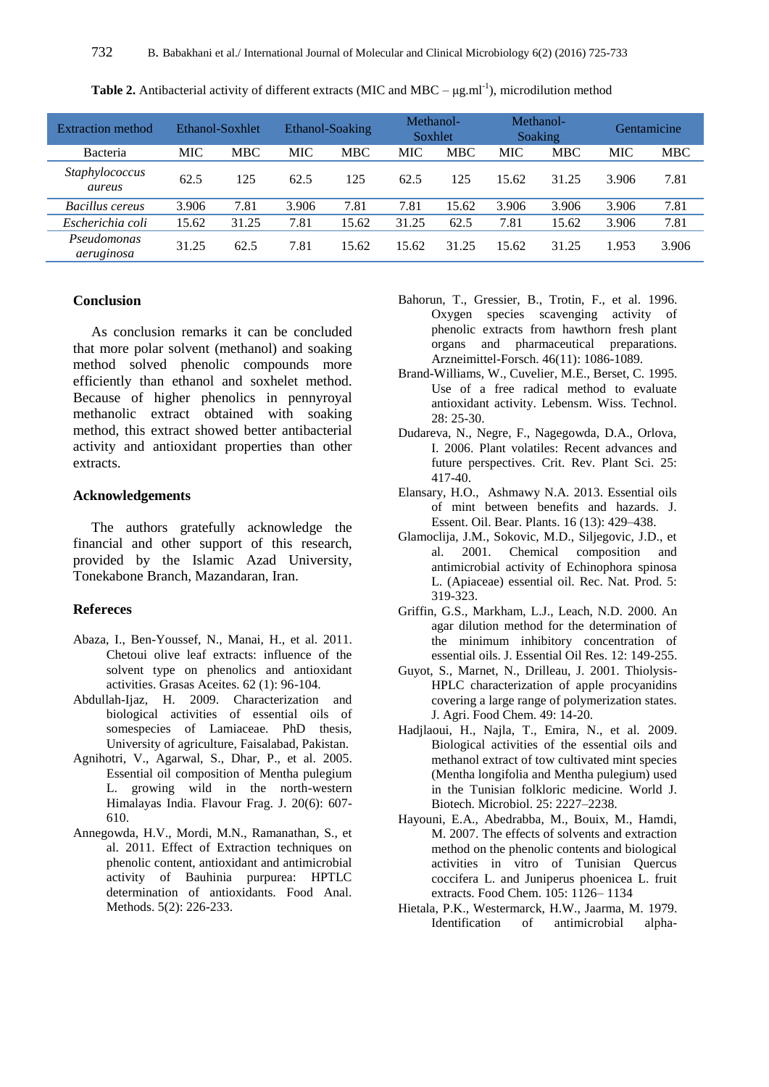| <b>Extraction method</b>  |            | Ethanol-Soxhlet |            | Ethanol-Soaking | Methanol-<br>Soxhlet |       |            | Methanol-<br>Soaking |            | <b>Gentamicine</b> |
|---------------------------|------------|-----------------|------------|-----------------|----------------------|-------|------------|----------------------|------------|--------------------|
| Bacteria                  | <b>MIC</b> | <b>MBC</b>      | <b>MIC</b> | <b>MBC</b>      | <b>MIC</b>           | MBC   | <b>MIC</b> | <b>MBC</b>           | <b>MIC</b> | <b>MBC</b>         |
| Staphylococcus<br>aureus  | 62.5       | 125             | 62.5       | 125             | 62.5                 | 125   | 15.62      | 31.25                | 3.906      | 7.81               |
| Bacillus cereus           | 3.906      | 7.81            | 3.906      | 7.81            | 7.81                 | 15.62 | 3.906      | 3.906                | 3.906      | 7.81               |
| Escherichia coli          | 15.62      | 31.25           | 7.81       | 15.62           | 31.25                | 62.5  | 7.81       | 15.62                | 3.906      | 7.81               |
| Pseudomonas<br>aeruginosa | 31.25      | 62.5            | 7.81       | 15.62           | 15.62                | 31.25 | 15.62      | 31.25                | 1.953      | 3.906              |

**Table 2.** Antibacterial activity of different extracts (MIC and MBC  $- \mu g.m^{-1}$ ), microdilution method

#### **Conclusion**

As conclusion remarks it can be concluded that more polar solvent (methanol) and soaking method solved phenolic compounds more efficiently than ethanol and soxhelet method. Because of higher phenolics in pennyroyal methanolic extract obtained with soaking method, this extract showed better antibacterial activity and antioxidant properties than other extracts.

#### **Acknowledgements**

The authors gratefully acknowledge the financial and other support of this research, provided by the Islamic Azad University, Tonekabone Branch, Mazandaran, Iran.

#### **Refereces**

- Abaza, I., Ben-Youssef, N., Manai, H., et al. 2011. Chetoui olive leaf extracts: influence of the solvent type on phenolics and antioxidant activities. Grasas Aceites. 62 (1): 96-104.
- Abdullah-Ijaz, H. 2009. Characterization and biological activities of essential oils of somespecies of Lamiaceae. PhD thesis, University of agriculture, Faisalabad, Pakistan.
- Agnihotri, V., Agarwal, S., Dhar, P., et al. 2005. Essential oil composition of Mentha pulegium L. growing wild in the north-western Himalayas India. Flavour Frag. J. 20(6): 607- 610.
- Annegowda, H.V., Mordi, M.N., Ramanathan, S., et al. 2011. Effect of Extraction techniques on phenolic content, antioxidant and antimicrobial activity of Bauhinia purpurea: HPTLC determination of antioxidants. Food Anal. Methods. 5(2): 226-233.
- Bahorun, T., Gressier, B., Trotin, F., et al. 1996. Oxygen species scavenging activity of phenolic extracts from hawthorn fresh plant organs and pharmaceutical preparations. Arzneimittel-Forsch. 46(11): 1086-1089.
- Brand-Williams, W., Cuvelier, M.E., Berset, C. 1995. Use of a free radical method to evaluate antioxidant activity. Lebensm. Wiss. Technol. 28: 25-30.
- Dudareva, N., Negre, F., Nagegowda, D.A., Orlova, I. 2006. Plant volatiles: Recent advances and future perspectives. Crit. Rev. Plant Sci. 25: 417-40.
- Elansary, H.O., Ashmawy N.A. 2013. Essential oils of mint between benefits and hazards. J. Essent. Oil. Bear. Plants. 16 (13): 429–438.
- Glamoclija, J.M., Sokovic, M.D., Siljegovic, J.D., et al. 2001. Chemical composition and antimicrobial activity of Echinophora spinosa L. (Apiaceae) essential oil. Rec. Nat. Prod. 5: 319-323.
- Griffin, G.S., Markham, L.J., Leach, N.D. 2000. An agar dilution method for the determination of the minimum inhibitory concentration of essential oils. J. Essential Oil Res. 12: 149-255.
- Guyot, S., Marnet, N., Drilleau, J. 2001. Thiolysis-HPLC characterization of apple procyanidins covering a large range of polymerization states. J. Agri. Food Chem. 49: 14-20.
- Hadjlaoui, H., Najla, T., Emira, N., et al. 2009. Biological activities of the essential oils and methanol extract of tow cultivated mint species (Mentha longifolia and Mentha pulegium) used in the Tunisian folkloric medicine. World J. Biotech. Microbiol. 25: 2227–2238.
- Hayouni, E.A., Abedrabba, M., Bouix, M., Hamdi, M. 2007. The effects of solvents and extraction method on the phenolic contents and biological activities in vitro of Tunisian Quercus coccifera L. and Juniperus phoenicea L. fruit extracts. Food Chem. 105: 1126– 1134
- Hietala, P.K., Westermarck, H.W., Jaarma, M. 1979. [Identification of antimicrobial alpha-](http://www.karger.com/Article/Fulltext/176260)